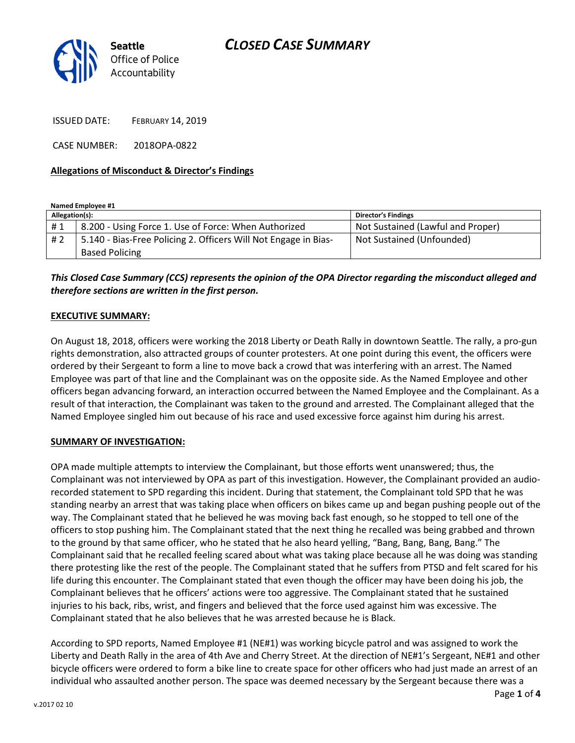# CLOSED CASE SUMMARY



ISSUED DATE: FEBRUARY 14, 2019

CASE NUMBER: 2018OPA-0822

#### Allegations of Misconduct & Director's Findings

Named Employee #1

| Allegation(s): |                                                                 | <b>Director's Findings</b>        |
|----------------|-----------------------------------------------------------------|-----------------------------------|
| #1             | 8.200 - Using Force 1. Use of Force: When Authorized            | Not Sustained (Lawful and Proper) |
| #2             | 5.140 - Bias-Free Policing 2. Officers Will Not Engage in Bias- | Not Sustained (Unfounded)         |
|                | <b>Based Policing</b>                                           |                                   |

This Closed Case Summary (CCS) represents the opinion of the OPA Director regarding the misconduct alleged and therefore sections are written in the first person.

#### EXECUTIVE SUMMARY:

On August 18, 2018, officers were working the 2018 Liberty or Death Rally in downtown Seattle. The rally, a pro-gun rights demonstration, also attracted groups of counter protesters. At one point during this event, the officers were ordered by their Sergeant to form a line to move back a crowd that was interfering with an arrest. The Named Employee was part of that line and the Complainant was on the opposite side. As the Named Employee and other officers began advancing forward, an interaction occurred between the Named Employee and the Complainant. As a result of that interaction, the Complainant was taken to the ground and arrested. The Complainant alleged that the Named Employee singled him out because of his race and used excessive force against him during his arrest.

#### SUMMARY OF INVESTIGATION:

OPA made multiple attempts to interview the Complainant, but those efforts went unanswered; thus, the Complainant was not interviewed by OPA as part of this investigation. However, the Complainant provided an audiorecorded statement to SPD regarding this incident. During that statement, the Complainant told SPD that he was standing nearby an arrest that was taking place when officers on bikes came up and began pushing people out of the way. The Complainant stated that he believed he was moving back fast enough, so he stopped to tell one of the officers to stop pushing him. The Complainant stated that the next thing he recalled was being grabbed and thrown to the ground by that same officer, who he stated that he also heard yelling, "Bang, Bang, Bang, Bang." The Complainant said that he recalled feeling scared about what was taking place because all he was doing was standing there protesting like the rest of the people. The Complainant stated that he suffers from PTSD and felt scared for his life during this encounter. The Complainant stated that even though the officer may have been doing his job, the Complainant believes that he officers' actions were too aggressive. The Complainant stated that he sustained injuries to his back, ribs, wrist, and fingers and believed that the force used against him was excessive. The Complainant stated that he also believes that he was arrested because he is Black.

According to SPD reports, Named Employee #1 (NE#1) was working bicycle patrol and was assigned to work the Liberty and Death Rally in the area of 4th Ave and Cherry Street. At the direction of NE#1's Sergeant, NE#1 and other bicycle officers were ordered to form a bike line to create space for other officers who had just made an arrest of an individual who assaulted another person. The space was deemed necessary by the Sergeant because there was a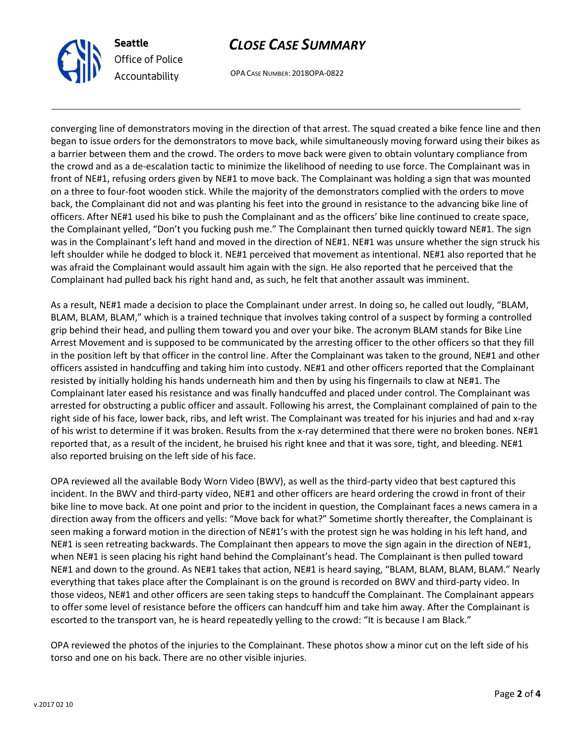

Seattle Office of Police Accountability

# CLOSE CASE SUMMARY

OPA CASE NUMBER: 2018OPA-0822

converging line of demonstrators moving in the direction of that arrest. The squad created a bike fence line and then began to issue orders for the demonstrators to move back, while simultaneously moving forward using their bikes as a barrier between them and the crowd. The orders to move back were given to obtain voluntary compliance from the crowd and as a de-escalation tactic to minimize the likelihood of needing to use force. The Complainant was in front of NE#1, refusing orders given by NE#1 to move back. The Complainant was holding a sign that was mounted on a three to four-foot wooden stick. While the majority of the demonstrators complied with the orders to move back, the Complainant did not and was planting his feet into the ground in resistance to the advancing bike line of officers. After NE#1 used his bike to push the Complainant and as the officers' bike line continued to create space, the Complainant yelled, "Don't you fucking push me." The Complainant then turned quickly toward NE#1. The sign was in the Complainant's left hand and moved in the direction of NE#1. NE#1 was unsure whether the sign struck his left shoulder while he dodged to block it. NE#1 perceived that movement as intentional. NE#1 also reported that he was afraid the Complainant would assault him again with the sign. He also reported that he perceived that the Complainant had pulled back his right hand and, as such, he felt that another assault was imminent.

As a result, NE#1 made a decision to place the Complainant under arrest. In doing so, he called out loudly, "BLAM, BLAM, BLAM, BLAM," which is a trained technique that involves taking control of a suspect by forming a controlled grip behind their head, and pulling them toward you and over your bike. The acronym BLAM stands for Bike Line Arrest Movement and is supposed to be communicated by the arresting officer to the other officers so that they fill in the position left by that officer in the control line. After the Complainant was taken to the ground, NE#1 and other officers assisted in handcuffing and taking him into custody. NE#1 and other officers reported that the Complainant resisted by initially holding his hands underneath him and then by using his fingernails to claw at NE#1. The Complainant later eased his resistance and was finally handcuffed and placed under control. The Complainant was arrested for obstructing a public officer and assault. Following his arrest, the Complainant complained of pain to the right side of his face, lower back, ribs, and left wrist. The Complainant was treated for his injuries and had and x-ray of his wrist to determine if it was broken. Results from the x-ray determined that there were no broken bones. NE#1 reported that, as a result of the incident, he bruised his right knee and that it was sore, tight, and bleeding. NE#1 also reported bruising on the left side of his face.

OPA reviewed all the available Body Worn Video (BWV), as well as the third-party video that best captured this incident. In the BWV and third-party video, NE#1 and other officers are heard ordering the crowd in front of their bike line to move back. At one point and prior to the incident in question, the Complainant faces a news camera in a direction away from the officers and yells: "Move back for what?" Sometime shortly thereafter, the Complainant is seen making a forward motion in the direction of NE#1's with the protest sign he was holding in his left hand, and NE#1 is seen retreating backwards. The Complainant then appears to move the sign again in the direction of NE#1, when NE#1 is seen placing his right hand behind the Complainant's head. The Complainant is then pulled toward NE#1 and down to the ground. As NE#1 takes that action, NE#1 is heard saying, "BLAM, BLAM, BLAM, BLAM." Nearly everything that takes place after the Complainant is on the ground is recorded on BWV and third-party video. In those videos, NE#1 and other officers are seen taking steps to handcuff the Complainant. The Complainant appears to offer some level of resistance before the officers can handcuff him and take him away. After the Complainant is escorted to the transport van, he is heard repeatedly yelling to the crowd: "It is because I am Black."

OPA reviewed the photos of the injuries to the Complainant. These photos show a minor cut on the left side of his torso and one on his back. There are no other visible injuries.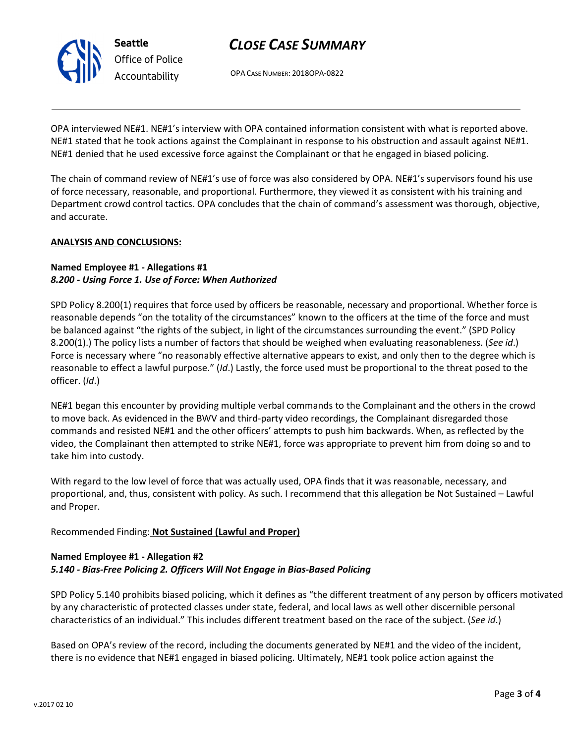

# CLOSE CASE SUMMARY

OPA CASE NUMBER: 2018OPA-0822

OPA interviewed NE#1. NE#1's interview with OPA contained information consistent with what is reported above. NE#1 stated that he took actions against the Complainant in response to his obstruction and assault against NE#1. NE#1 denied that he used excessive force against the Complainant or that he engaged in biased policing.

The chain of command review of NE#1's use of force was also considered by OPA. NE#1's supervisors found his use of force necessary, reasonable, and proportional. Furthermore, they viewed it as consistent with his training and Department crowd control tactics. OPA concludes that the chain of command's assessment was thorough, objective, and accurate.

#### ANALYSIS AND CONCLUSIONS:

### Named Employee #1 - Allegations #1 8.200 - Using Force 1. Use of Force: When Authorized

SPD Policy 8.200(1) requires that force used by officers be reasonable, necessary and proportional. Whether force is reasonable depends "on the totality of the circumstances" known to the officers at the time of the force and must be balanced against "the rights of the subject, in light of the circumstances surrounding the event." (SPD Policy 8.200(1).) The policy lists a number of factors that should be weighed when evaluating reasonableness. (See id.) Force is necessary where "no reasonably effective alternative appears to exist, and only then to the degree which is reasonable to effect a lawful purpose." (Id.) Lastly, the force used must be proportional to the threat posed to the officer. (Id.)

NE#1 began this encounter by providing multiple verbal commands to the Complainant and the others in the crowd to move back. As evidenced in the BWV and third-party video recordings, the Complainant disregarded those commands and resisted NE#1 and the other officers' attempts to push him backwards. When, as reflected by the video, the Complainant then attempted to strike NE#1, force was appropriate to prevent him from doing so and to take him into custody.

With regard to the low level of force that was actually used, OPA finds that it was reasonable, necessary, and proportional, and, thus, consistent with policy. As such. I recommend that this allegation be Not Sustained – Lawful and Proper.

### Recommended Finding: Not Sustained (Lawful and Proper)

### Named Employee #1 - Allegation #2 5.140 - Bias-Free Policing 2. Officers Will Not Engage in Bias-Based Policing

SPD Policy 5.140 prohibits biased policing, which it defines as "the different treatment of any person by officers motivated by any characteristic of protected classes under state, federal, and local laws as well other discernible personal characteristics of an individual." This includes different treatment based on the race of the subject. (See id.)

Based on OPA's review of the record, including the documents generated by NE#1 and the video of the incident, there is no evidence that NE#1 engaged in biased policing. Ultimately, NE#1 took police action against the